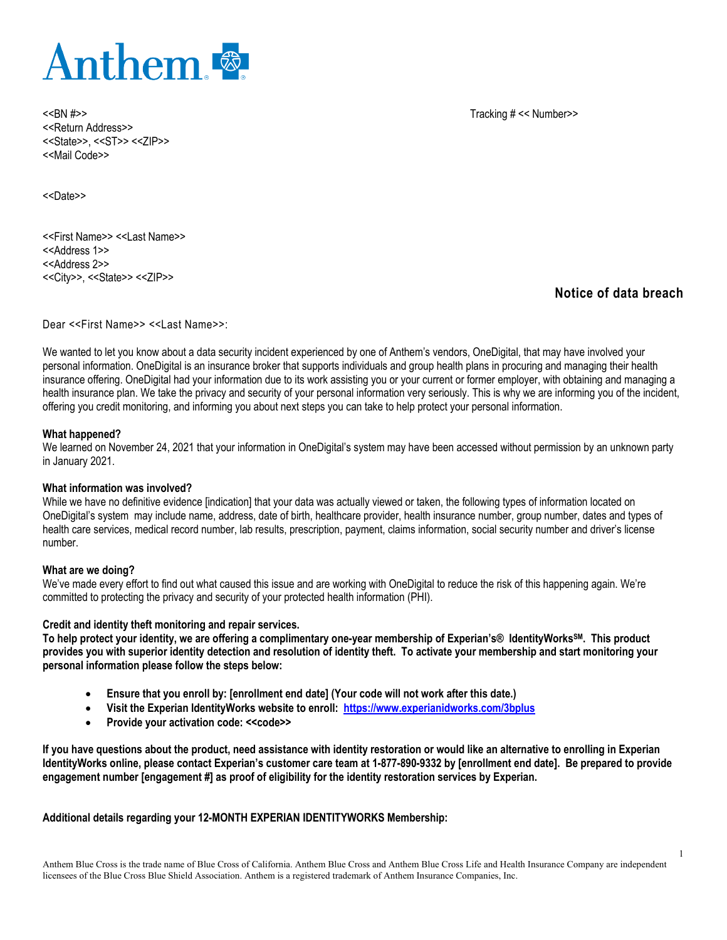

<<BN #>> Tracking # << Number>> <<Return Address>> <<State>>, <<ST>> <<ZIP>> <<Mail Code>>

<<Date>>

<<First Name>> <<Last Name>> <<Address 1>> <<Address 2>> <<City>>, <<State>> <<ZIP>>

# **Notice of data breach**

Dear <<First Name>> <<Last Name>>:

We wanted to let you know about a data security incident experienced by one of Anthem's vendors, OneDigital, that may have involved your personal information. OneDigital is an insurance broker that supports individuals and group health plans in procuring and managing their health insurance offering. OneDigital had your information due to its work assisting you or your current or former employer, with obtaining and managing a health insurance plan. We take the privacy and security of your personal information very seriously. This is why we are informing you of the incident, offering you credit monitoring, and informing you about next steps you can take to help protect your personal information.

# **What happened?**

We learned on November 24, 2021 that your information in OneDigital's system may have been accessed without permission by an unknown party in January 2021.

### **What information was involved?**

While we have no definitive evidence [indication] that your data was actually viewed or taken, the following types of information located on OneDigital's system may include name, address, date of birth, healthcare provider, health insurance number, group number, dates and types of health care services, medical record number, lab results, prescription, payment, claims information, social security number and driver's license number.

### **What are we doing?**

We've made every effort to find out what caused this issue and are working with OneDigital to reduce the risk of this happening again. We're committed to protecting the privacy and security of your protected health information (PHI).

### **Credit and identity theft monitoring and repair services.**

**To help protect your identity, we are offering a complimentary one-year membership of Experian's® IdentityWorksSM. This product provides you with superior identity detection and resolution of identity theft. To activate your membership and start monitoring your personal information please follow the steps below:** 

- **Ensure that you enroll by: [enrollment end date] (Your code will not work after this date.)**
- **Visit the Experian IdentityWorks website to enroll: <https://www.experianidworks.com/3bplus>**
- Provide your activation code: << code>>

**If you have questions about the product, need assistance with identity restoration or would like an alternative to enrolling in Experian IdentityWorks online, please contact Experian's customer care team at 1-877-890-9332 by [enrollment end date]. Be prepared to provide engagement number [engagement #] as proof of eligibility for the identity restoration services by Experian.**

**Additional details regarding your 12-MONTH EXPERIAN IDENTITYWORKS Membership:**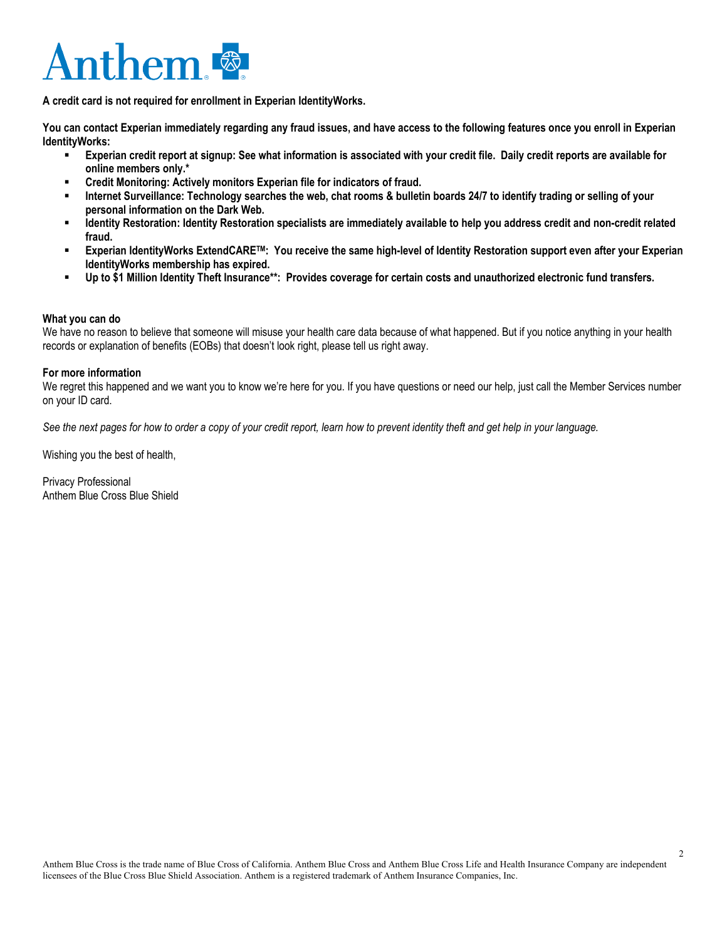# Anthem<sup>®</sup>

**A credit card is not required for enrollment in Experian IdentityWorks.**

**You can contact Experian immediately regarding any fraud issues, and have access to the following features once you enroll in Experian IdentityWorks:**

- **Experian credit report at signup: See what information is associated with your credit file. Daily credit reports are available for online members only.\***
- **Credit Monitoring: Actively monitors Experian file for indicators of fraud.**
- **Internet Surveillance: Technology searches the web, chat rooms & bulletin boards 24/7 to identify trading or selling of your personal information on the Dark Web.**
- **Identity Restoration: Identity Restoration specialists are immediately available to help you address credit and non-credit related fraud.**
- **Experian IdentityWorks ExtendCARETM: You receive the same high-level of Identity Restoration support even after your Experian IdentityWorks membership has expired.**
- **Up to \$1 Million Identity Theft Insurance\*\*: Provides coverage for certain costs and unauthorized electronic fund transfers.**

# **What you can do**

We have no reason to believe that someone will misuse your health care data because of what happened. But if you notice anything in your health records or explanation of benefits (EOBs) that doesn't look right, please tell us right away.

# **For more information**

We regret this happened and we want you to know we're here for you. If you have questions or need our help, just call the Member Services number on your ID card.

*See the next pages for how to order a copy of your credit report, learn how to prevent identity theft and get help in your language.*

Wishing you the best of health,

Privacy Professional Anthem Blue Cross Blue Shield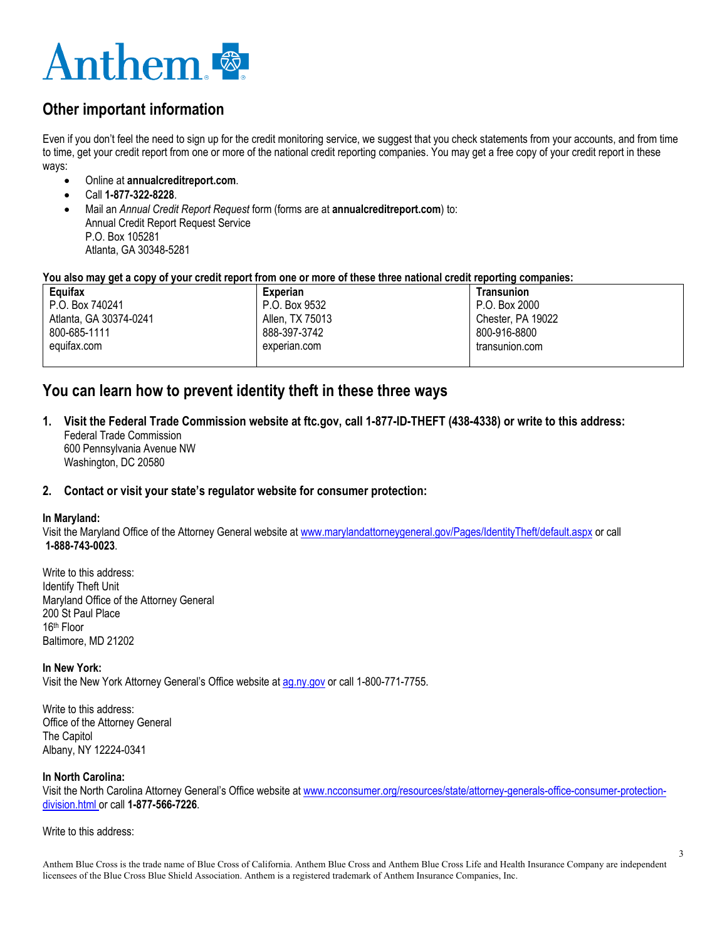

# **Other important information**

Even if you don't feel the need to sign up for the credit monitoring service, we suggest that you check statements from your accounts, and from time to time, get your credit report from one or more of the national credit reporting companies. You may get a free copy of your credit report in these ways:

- Online at **annualcreditreport.com**.
- Call **1-877-322-8228**.
- Mail an *Annual Credit Report Request* form (forms are at **annualcreditreport.com**) to: Annual Credit Report Request Service P.O. Box 105281 Atlanta, GA 30348-5281

# **You also may get a copy of your credit report from one or more of these three national credit reporting companies:**

| Equifax                | Experian        | Transunion        |
|------------------------|-----------------|-------------------|
| P.O. Box 740241        | P.O. Box 9532   | P.O. Box 2000     |
| Atlanta, GA 30374-0241 | Allen, TX 75013 | Chester, PA 19022 |
| 800-685-1111           | 888-397-3742    | 800-916-8800      |
| equifax.com            | experian.com    | transunion.com    |
|                        |                 |                   |

# **You can learn how to prevent identity theft in these three ways**

**1. Visit the Federal Trade Commission website at ftc.gov, call 1-877-ID-THEFT (438-4338) or write to this address:** Federal Trade Commission 600 Pennsylvania Avenue NW Washington, DC 20580

# **2. Contact or visit your state's regulator website for consumer protection:**

# **In Maryland:**

Visit the Maryland Office of the Attorney General website a[t www.marylandattorneygeneral.gov/Pages/IdentityTheft/default.aspx](http://www.marylandattorneygeneral.gov/Pages/IdentityTheft/default.aspx) or call **1-888-743-0023**.

Write to this address: Identify Theft Unit Maryland Office of the Attorney General 200 St Paul Place 16th Floor Baltimore, MD 21202

### **In New York:**

Visit the New York Attorney General's Office website a[t ag.ny.gov](file://nhusers/home/AD94675/Privacy%20Office%20General/ag.ny.gov) or call 1-800-771-7755.

Write to this address: Office of the Attorney General The Capitol Albany, NY 12224-0341

# **In North Carolina:**

Visit the North Carolina Attorney General's Office website a[t www.ncconsumer.org/resources/state/attorney-generals-office-consumer-protection](http://www.ncconsumer.org/resources/state/attorney-generals-office-consumer-protection-division.html)[division.html](http://www.ncconsumer.org/resources/state/attorney-generals-office-consumer-protection-division.html) or call **1-877-566-7226**.

## Write to this address:

Anthem Blue Cross is the trade name of Blue Cross of California. Anthem Blue Cross and Anthem Blue Cross Life and Health Insurance Company are independent licensees of the Blue Cross Blue Shield Association. Anthem is a registered trademark of Anthem Insurance Companies, Inc.